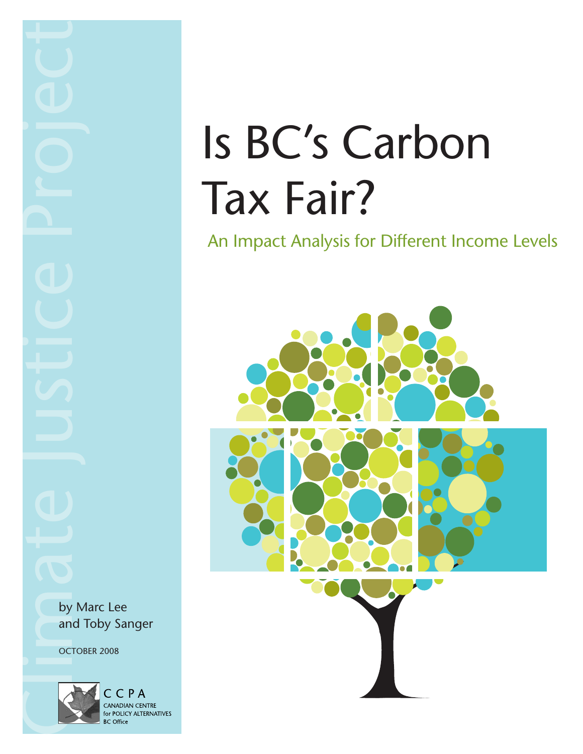# Is BC's Carbon Tax Fair?

An Impact Analysis for Different Income Levels



by Marc Lee and Toby Sanger

OCTOBER 2008

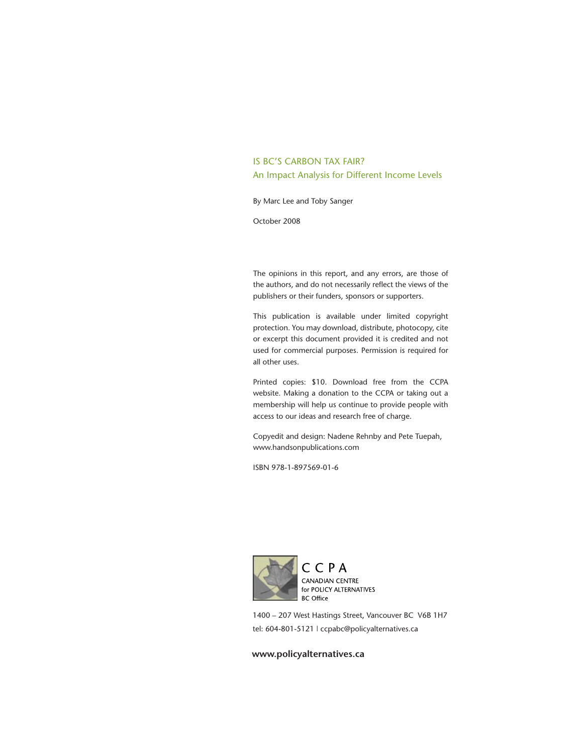#### IS BC'S CARBON TAX FAIR? An Impact Analysis for Different Income Levels

By Marc Lee and Toby Sanger

October 2008

The opinions in this report, and any errors, are those of the authors, and do not necessarily reflect the views of the publishers or their funders, sponsors or supporters.

This publication is available under limited copyright protection. You may download, distribute, photocopy, cite or excerpt this document provided it is credited and not used for commercial purposes. Permission is required for all other uses.

Printed copies: \$10. Download free from the CCPA website. Making a donation to the CCPA or taking out a membership will help us continue to provide people with access to our ideas and research free of charge.

Copyedit and design: Nadene Rehnby and Pete Tuepah, [www.handsonpublications.com]( http://www.handsonpublications.com )

ISBN 978-1-897569-01-6



CCPA CANADIAN CENTRE for POLICY ALTERNATIVES **BC** Office

1400 – 207 West Hastings Street, Vancouver BC V6B 1H7 tel: 604-801-5121 | ccpabc@policyalternatives.ca

#### **<www.policyalternatives.ca>**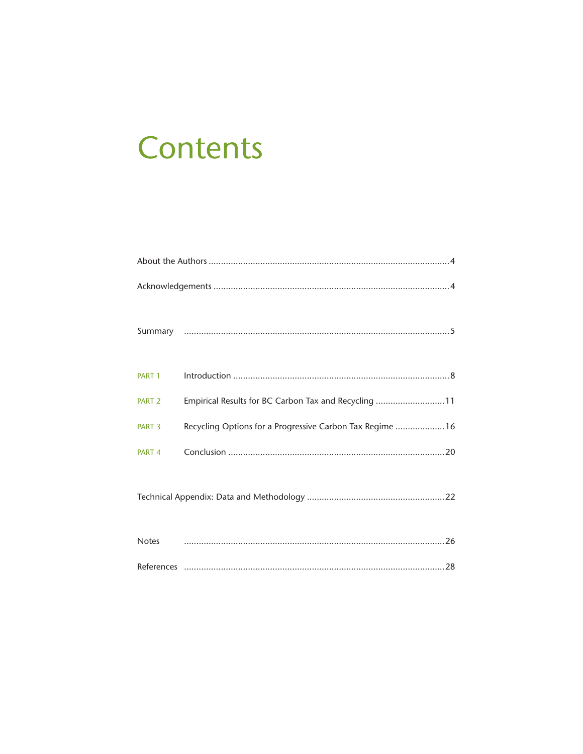# **Contents**

| PART 1 |                                                           |
|--------|-----------------------------------------------------------|
| PART 2 | Empirical Results for BC Carbon Tax and Recycling 11      |
| PART 3 | Recycling Options for a Progressive Carbon Tax Regime  16 |
| PART 4 |                                                           |
|        |                                                           |
|        |                                                           |
|        |                                                           |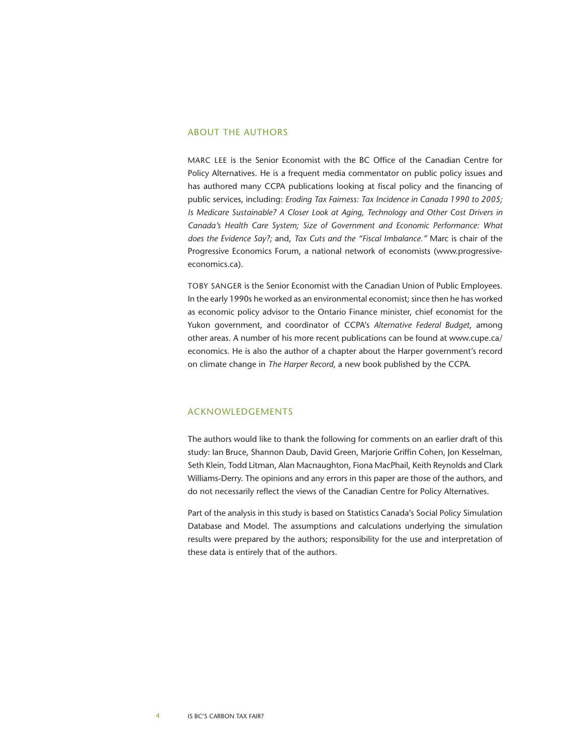#### About the Authors

Marc Lee is the Senior Economist with the BC Office of the Canadian Centre for Policy Alternatives. He is a frequent media commentator on public policy issues and has authored many CCPA publications looking at fiscal policy and the financing of public services, including: *Eroding Tax Fairness: Tax Incidence in Canada 1990 to 2005; Is Medicare Sustainable? A Closer Look at Aging, Technology and Other Cost Drivers in Canada's Health Care System; Size of Government and Economic Performance: What does the Evidence Say?;* and, *Tax Cuts and the "Fiscal Imbalance."* Marc is chair of the Progressive Economics Forum, a national network of economists (www.progressiveeconomics.ca).

Toby Sanger is the Senior Economist with the Canadian Union of Public Employees. In the early 1990s he worked as an environmental economist; since then he has worked as economic policy advisor to the Ontario Finance minister, chief economist for the Yukon government, and coordinator of CCPA's *Alternative Federal Budget*, among other areas. A number of his more recent publications can be found at [www.cupe.ca/](http://www.cupe.ca/economics) [economics.](http://www.cupe.ca/economics) He is also the author of a chapter about the Harper government's record on climate change in *The Harper Record*, a new book published by the CCPA.

#### Acknowledgements

The authors would like to thank the following for comments on an earlier draft of this study: Ian Bruce, Shannon Daub, David Green, Marjorie Griffin Cohen, Jon Kesselman, Seth Klein, Todd Litman, Alan Macnaughton, Fiona MacPhail, Keith Reynolds and Clark Williams-Derry. The opinions and any errors in this paper are those of the authors, and do not necessarily reflect the views of the Canadian Centre for Policy Alternatives.

Part of the analysis in this study is based on Statistics Canada's Social Policy Simulation Database and Model. The assumptions and calculations underlying the simulation results were prepared by the authors; responsibility for the use and interpretation of these data is entirely that of the authors.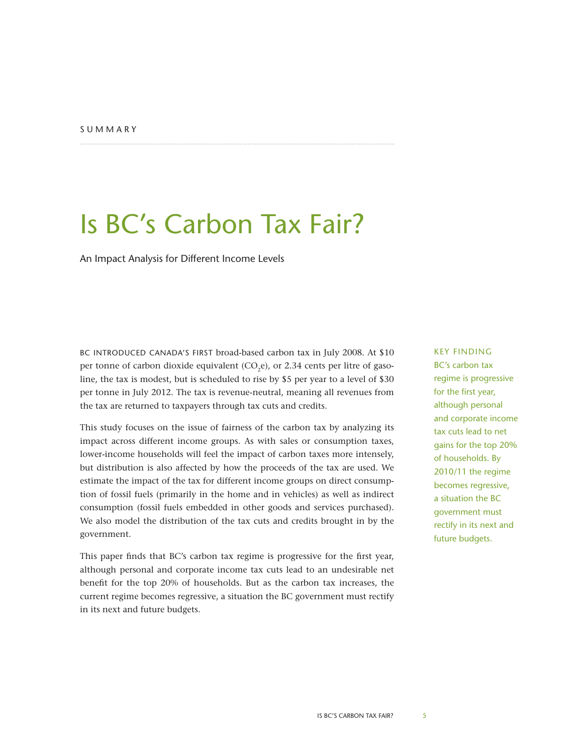### <span id="page-4-0"></span>Is BC's Carbon Tax Fair?

An Impact Analysis for Different Income Levels

BC INTRODUCED CANADA'S FIRST broad-based carbon tax in July 2008. At \$10 per tonne of carbon dioxide equivalent  $(CO,e)$ , or 2.34 cents per litre of gasoline, the tax is modest, but is scheduled to rise by \$5 per year to a level of \$30 per tonne in July 2012. The tax is revenue-neutral, meaning all revenues from the tax are returned to taxpayers through tax cuts and credits.

This study focuses on the issue of fairness of the carbon tax by analyzing its impact across different income groups. As with sales or consumption taxes, lower-income households will feel the impact of carbon taxes more intensely, but distribution is also affected by how the proceeds of the tax are used. We estimate the impact of the tax for different income groups on direct consumption of fossil fuels (primarily in the home and in vehicles) as well as indirect consumption (fossil fuels embedded in other goods and services purchased). We also model the distribution of the tax cuts and credits brought in by the government.

This paper finds that BC's carbon tax regime is progressive for the first year, although personal and corporate income tax cuts lead to an undesirable net benefit for the top 20% of households. But as the carbon tax increases, the current regime becomes regressive, a situation the BC government must rectify in its next and future budgets.

#### Key finding BC's carbon tax regime is progressive for the first year, although personal and corporate income tax cuts lead to net gains for the top 20% of households. By 2010/11 the regime becomes regressive, a situation the BC government must rectify in its next and future budgets.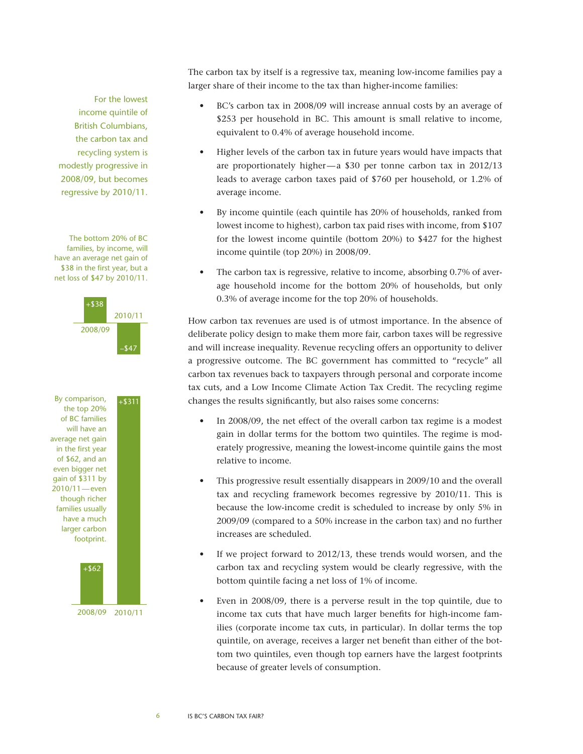For the lowest income quintile of British Columbians, the carbon tax and recycling system is modestly progressive in 2008/09, but becomes regressive by 2010/11.

The bottom 20% of BC families, by income, will have an average net gain of \$38 in the first year, but a net loss of \$47 by 2010/11.



The carbon tax by itself is a regressive tax, meaning low-income families pay a larger share of their income to the tax than higher-income families:

- BC's carbon tax in 2008/09 will increase annual costs by an average of \$253 per household in BC. This amount is small relative to income, equivalent to 0.4% of average household income.
- • Higher levels of the carbon tax in future years would have impacts that are proportionately higher—a \$30 per tonne carbon tax in 2012/13 leads to average carbon taxes paid of \$760 per household, or 1.2% of average income.
- • By income quintile (each quintile has 20% of households, ranked from lowest income to highest), carbon tax paid rises with income, from \$107 for the lowest income quintile (bottom 20%) to \$427 for the highest income quintile (top 20%) in 2008/09.
- The carbon tax is regressive, relative to income, absorbing 0.7% of average household income for the bottom 20% of households, but only 0.3% of average income for the top 20% of households.

How carbon tax revenues are used is of utmost importance. In the absence of deliberate policy design to make them more fair, carbon taxes will be regressive and will increase inequality. Revenue recycling offers an opportunity to deliver a progressive outcome. The BC government has committed to "recycle" all carbon tax revenues back to taxpayers through personal and corporate income tax cuts, and a Low Income Climate Action Tax Credit. The recycling regime changes the results significantly, but also raises some concerns:

- In 2008/09, the net effect of the overall carbon tax regime is a modest gain in dollar terms for the bottom two quintiles. The regime is moderately progressive, meaning the lowest-income quintile gains the most relative to income.
- This progressive result essentially disappears in 2009/10 and the overall tax and recycling framework becomes regressive by 2010/11. This is because the low-income credit is scheduled to increase by only 5% in 2009/09 (compared to a 50% increase in the carbon tax) and no further increases are scheduled.
- If we project forward to 2012/13, these trends would worsen, and the carbon tax and recycling system would be clearly regressive, with the bottom quintile facing a net loss of 1% of income.
- Even in 2008/09, there is a perverse result in the top quintile, due to income tax cuts that have much larger benefits for high-income families (corporate income tax cuts, in particular). In dollar terms the top quintile, on average, receives a larger net benefit than either of the bottom two quintiles, even though top earners have the largest footprints because of greater levels of consumption.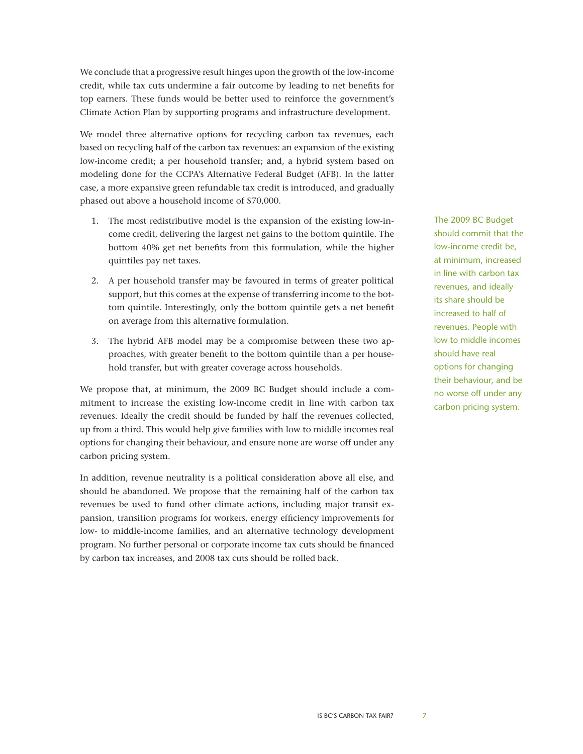We conclude that a progressive result hinges upon the growth of the low-income credit, while tax cuts undermine a fair outcome by leading to net benefits for top earners. These funds would be better used to reinforce the government's Climate Action Plan by supporting programs and infrastructure development.

We model three alternative options for recycling carbon tax revenues, each based on recycling half of the carbon tax revenues: an expansion of the existing low-income credit; a per household transfer; and, a hybrid system based on modeling done for the CCPA's Alternative Federal Budget (AFB). In the latter case, a more expansive green refundable tax credit is introduced, and gradually phased out above a household income of \$70,000.

- 1. The most redistributive model is the expansion of the existing low-income credit, delivering the largest net gains to the bottom quintile. The bottom 40% get net benefits from this formulation, while the higher quintiles pay net taxes.
- 2. A per household transfer may be favoured in terms of greater political support, but this comes at the expense of transferring income to the bottom quintile. Interestingly, only the bottom quintile gets a net benefit on average from this alternative formulation.
- 3. The hybrid AFB model may be a compromise between these two approaches, with greater benefit to the bottom quintile than a per household transfer, but with greater coverage across households.

We propose that, at minimum, the 2009 BC Budget should include a commitment to increase the existing low-income credit in line with carbon tax revenues. Ideally the credit should be funded by half the revenues collected, up from a third. This would help give families with low to middle incomes real options for changing their behaviour, and ensure none are worse off under any carbon pricing system.

In addition, revenue neutrality is a political consideration above all else, and should be abandoned. We propose that the remaining half of the carbon tax revenues be used to fund other climate actions, including major transit expansion, transition programs for workers, energy efficiency improvements for low- to middle-income families, and an alternative technology development program. No further personal or corporate income tax cuts should be financed by carbon tax increases, and 2008 tax cuts should be rolled back.

The 2009 BC Budget should commit that the low-income credit be, at minimum, increased in line with carbon tax revenues, and ideally its share should be increased to half of revenues. People with low to middle incomes should have real options for changing their behaviour, and be no worse off under any carbon pricing system.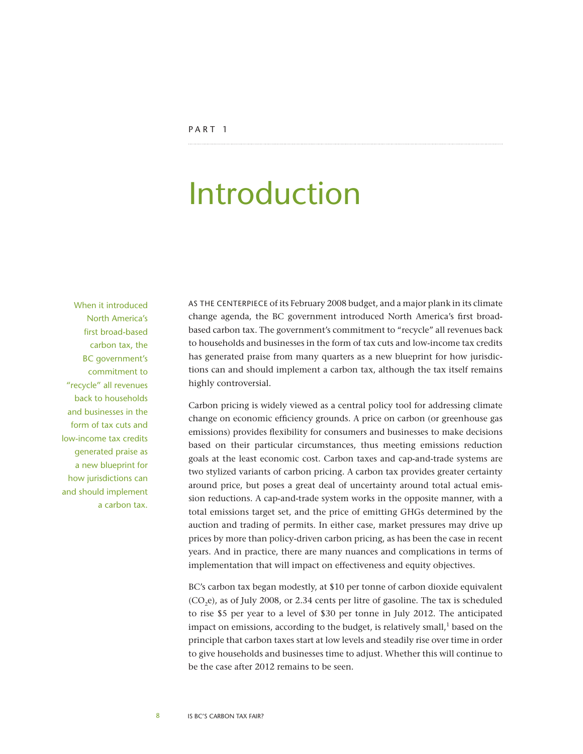## <span id="page-7-0"></span>Introduction

When it introduced North America's first broad-based carbon tax, the BC government's commitment to "recycle" all revenues back to households and businesses in the form of tax cuts and low-income tax credits generated praise as a new blueprint for how jurisdictions can and should implement a carbon tax.

As the centerpiece of its February 2008 budget, and a major plank in its climate change agenda, the BC government introduced North America's first broadbased carbon tax. The government's commitment to "recycle" all revenues back to households and businesses in the form of tax cuts and low-income tax credits has generated praise from many quarters as a new blueprint for how jurisdictions can and should implement a carbon tax, although the tax itself remains highly controversial.

Carbon pricing is widely viewed as a central policy tool for addressing climate change on economic efficiency grounds. A price on carbon (or greenhouse gas emissions) provides flexibility for consumers and businesses to make decisions based on their particular circumstances, thus meeting emissions reduction goals at the least economic cost. Carbon taxes and cap-and-trade systems are two stylized variants of carbon pricing. A carbon tax provides greater certainty around price, but poses a great deal of uncertainty around total actual emission reductions. A cap-and-trade system works in the opposite manner, with a total emissions target set, and the price of emitting GHGs determined by the auction and trading of permits. In either case, market pressures may drive up prices by more than policy-driven carbon pricing, as has been the case in recent years. And in practice, there are many nuances and complications in terms of implementation that will impact on effectiveness and equity objectives.

BC's carbon tax began modestly, at \$10 per tonne of carbon dioxide equivalent  $(CO,e)$ , as of July 2008, or 2.34 cents per litre of gasoline. The tax is scheduled to rise \$5 per year to a level of \$30 per tonne in July 2012. The anticipated impact on emissions, according to the budget, is relatively small, $<sup>1</sup>$  based on the</sup> principle that carbon taxes start at low levels and steadily rise over time in order to give households and businesses time to adjust. Whether this will continue to be the case after 2012 remains to be seen.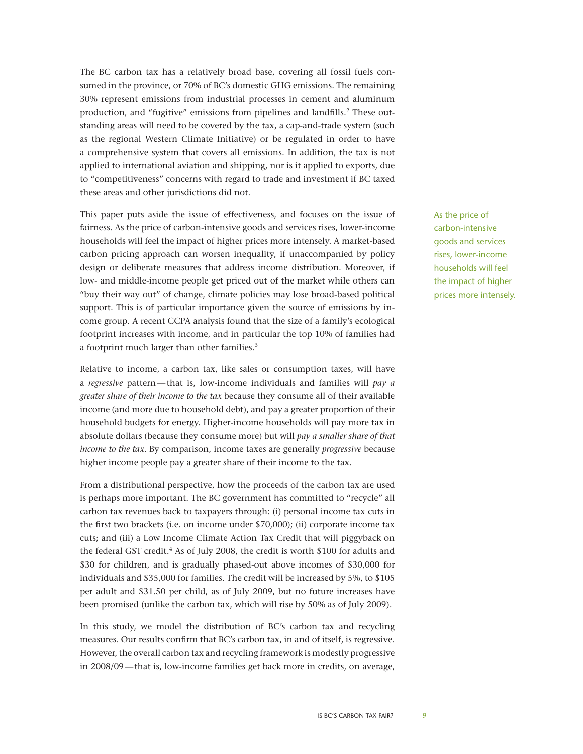The BC carbon tax has a relatively broad base, covering all fossil fuels consumed in the province, or 70% of BC's domestic GHG emissions. The remaining 30% represent emissions from industrial processes in cement and aluminum production, and "fugitive" emissions from pipelines and landfills.<sup>2</sup> These outstanding areas will need to be covered by the tax, a cap-and-trade system (such as the regional Western Climate Initiative) or be regulated in order to have a comprehensive system that covers all emissions. In addition, the tax is not applied to international aviation and shipping, nor is it applied to exports, due to "competitiveness" concerns with regard to trade and investment if BC taxed these areas and other jurisdictions did not.

This paper puts aside the issue of effectiveness, and focuses on the issue of fairness. As the price of carbon-intensive goods and services rises, lower-income households will feel the impact of higher prices more intensely. A market-based carbon pricing approach can worsen inequality, if unaccompanied by policy design or deliberate measures that address income distribution. Moreover, if low- and middle-income people get priced out of the market while others can "buy their way out" of change, climate policies may lose broad-based political support. This is of particular importance given the source of emissions by income group. A recent CCPA analysis found that the size of a family's ecological footprint increases with income, and in particular the top 10% of families had a footprint much larger than other families.3

Relative to income, a carbon tax, like sales or consumption taxes, will have a *regressive* pattern—that is, low-income individuals and families will *pay a greater share of their income to the tax* because they consume all of their available income (and more due to household debt), and pay a greater proportion of their household budgets for energy. Higher-income households will pay more tax in absolute dollars (because they consume more) but will *pay a smaller share of that income to the tax*. By comparison, income taxes are generally *progressive* because higher income people pay a greater share of their income to the tax.

From a distributional perspective, how the proceeds of the carbon tax are used is perhaps more important. The BC government has committed to "recycle" all carbon tax revenues back to taxpayers through: (i) personal income tax cuts in the first two brackets (i.e. on income under \$70,000); (ii) corporate income tax cuts; and (iii) a Low Income Climate Action Tax Credit that will piggyback on the federal GST credit.<sup>4</sup> As of July 2008, the credit is worth \$100 for adults and \$30 for children, and is gradually phased-out above incomes of \$30,000 for individuals and \$35,000 for families. The credit will be increased by 5%, to \$105 per adult and \$31.50 per child, as of July 2009, but no future increases have been promised (unlike the carbon tax, which will rise by 50% as of July 2009).

In this study, we model the distribution of BC's carbon tax and recycling measures. Our results confirm that BC's carbon tax, in and of itself, is regressive. However, the overall carbon tax and recycling framework is modestly progressive in 2008/09—that is, low-income families get back more in credits, on average,

As the price of carbon-intensive goods and services rises, lower-income households will feel the impact of higher prices more intensely.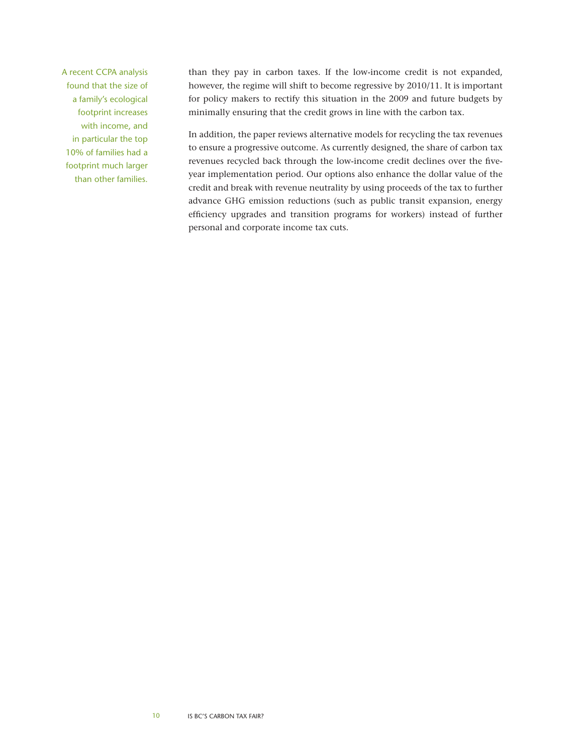A recent CCPA analysis found that the size of a family's ecological footprint increases with income, and in particular the top 10% of families had a footprint much larger than other families.

than they pay in carbon taxes. If the low-income credit is not expanded, however, the regime will shift to become regressive by 2010/11. It is important for policy makers to rectify this situation in the 2009 and future budgets by minimally ensuring that the credit grows in line with the carbon tax.

In addition, the paper reviews alternative models for recycling the tax revenues to ensure a progressive outcome. As currently designed, the share of carbon tax revenues recycled back through the low-income credit declines over the fiveyear implementation period. Our options also enhance the dollar value of the credit and break with revenue neutrality by using proceeds of the tax to further advance GHG emission reductions (such as public transit expansion, energy efficiency upgrades and transition programs for workers) instead of further personal and corporate income tax cuts.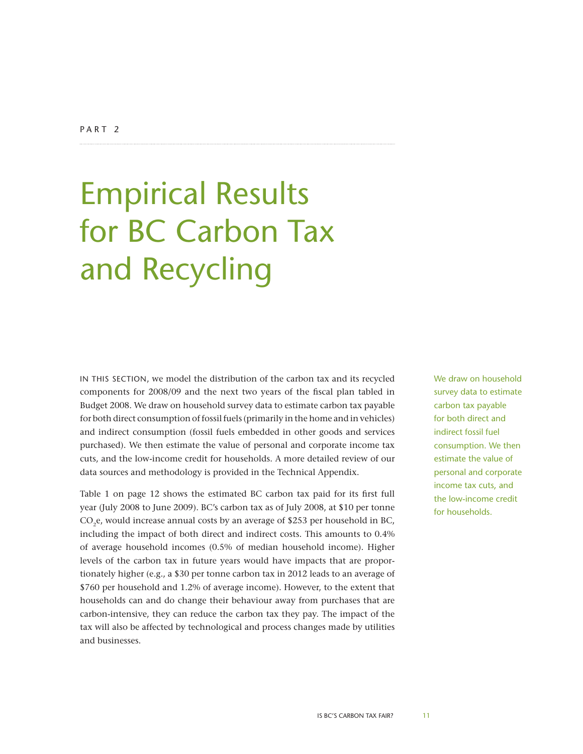# <span id="page-10-0"></span>Empirical Results for BC Carbon Tax and Recycling

In this section, we model the distribution of the carbon tax and its recycled components for 2008/09 and the next two years of the fiscal plan tabled in Budget 2008. We draw on household survey data to estimate carbon tax payable for both direct consumption of fossil fuels (primarily in the home and in vehicles) and indirect consumption (fossil fuels embedded in other goods and services purchased). We then estimate the value of personal and corporate income tax cuts, and the low-income credit for households. A more detailed review of our data sources and methodology is provided in the Technical Appendix.

Table 1 on page 12 shows the estimated BC carbon tax paid for its first full year (July 2008 to June 2009). BC's carbon tax as of July 2008, at \$10 per tonne CO<sub>2</sub>e, would increase annual costs by an average of \$253 per household in BC, including the impact of both direct and indirect costs. This amounts to 0.4% of average household incomes (0.5% of median household income). Higher levels of the carbon tax in future years would have impacts that are proportionately higher (e.g., a \$30 per tonne carbon tax in 2012 leads to an average of \$760 per household and 1.2% of average income). However, to the extent that households can and do change their behaviour away from purchases that are carbon-intensive, they can reduce the carbon tax they pay. The impact of the tax will also be affected by technological and process changes made by utilities and businesses.

We draw on household survey data to estimate carbon tax payable for both direct and indirect fossil fuel consumption. We then estimate the value of personal and corporate income tax cuts, and the low-income credit for households.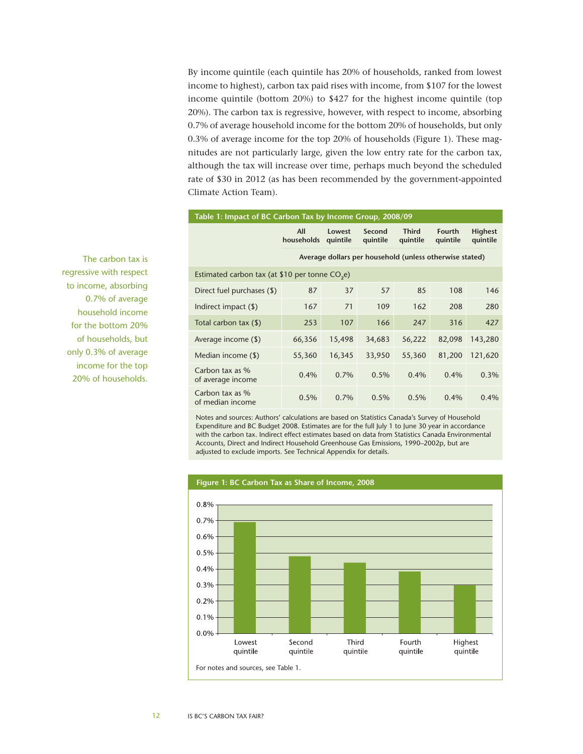By income quintile (each quintile has 20% of households, ranked from lowest income to highest), carbon tax paid rises with income, from \$107 for the lowest income quintile (bottom 20%) to \$427 for the highest income quintile (top 20%). The carbon tax is regressive, however, with respect to income, absorbing 0.7% of average household income for the bottom 20% of households, but only 0.3% of average income for the top 20% of households (Figure 1). These magnitudes are not particularly large, given the low entry rate for the carbon tax, although the tax will increase over time, perhaps much beyond the scheduled rate of \$30 in 2012 (as has been recommended by the government-appointed Climate Action Team).

| Table 1: Impact of BC Carbon Tax by Income Group, 2008/09  |                                                         |                    |                    |                          |                           |                            |  |  |  |
|------------------------------------------------------------|---------------------------------------------------------|--------------------|--------------------|--------------------------|---------------------------|----------------------------|--|--|--|
|                                                            | All<br>households                                       | Lowest<br>quintile | Second<br>quintile | <b>Third</b><br>quintile | <b>Fourth</b><br>quintile | <b>Highest</b><br>quintile |  |  |  |
|                                                            | Average dollars per household (unless otherwise stated) |                    |                    |                          |                           |                            |  |  |  |
| Estimated carbon tax (at \$10 per tonne CO <sub>3</sub> e) |                                                         |                    |                    |                          |                           |                            |  |  |  |
| Direct fuel purchases (\$)                                 | 87                                                      | 37                 | 57                 | 85                       | 108                       | 146                        |  |  |  |
| Indirect impact $(\$)$                                     | 167                                                     | 71                 | 109                | 162                      | 208                       | 280                        |  |  |  |
| Total carbon tax (\$)                                      | 253                                                     | 107                | 166                | 247                      | 316                       | 427                        |  |  |  |
| Average income (\$)                                        | 66,356                                                  | 15,498             | 34,683             | 56,222                   | 82,098                    | 143,280                    |  |  |  |
| Median income (\$)                                         | 55,360                                                  | 16,345             | 33,950             | 55,360                   | 81,200                    | 121,620                    |  |  |  |
| Carbon tax as %<br>of average income                       | 0.4%                                                    | 0.7%               | 0.5%               | $0.4\%$                  | $0.4\%$                   | 0.3%                       |  |  |  |
| Carbon tax as %<br>of median income                        | 0.5%                                                    | 0.7%               | 0.5%               | 0.5%                     | $0.4\%$                   | 0.4%                       |  |  |  |

Notes and sources: Authors' calculations are based on Statistics Canada's Survey of Household Expenditure and BC Budget 2008. Estimates are for the full July 1 to June 30 year in accordance with the carbon tax. Indirect effect estimates based on data from Statistics Canada Environmental Accounts, Direct and Indirect Household Greenhouse Gas Emissions, 1990–2002p, but are adjusted to exclude imports. See Technical Appendix for details.



The carbon tax is regressive with respect to income, absorbing 0.7% of average household income for the bottom 20% of households, but only 0.3% of average income for the top 20% of households.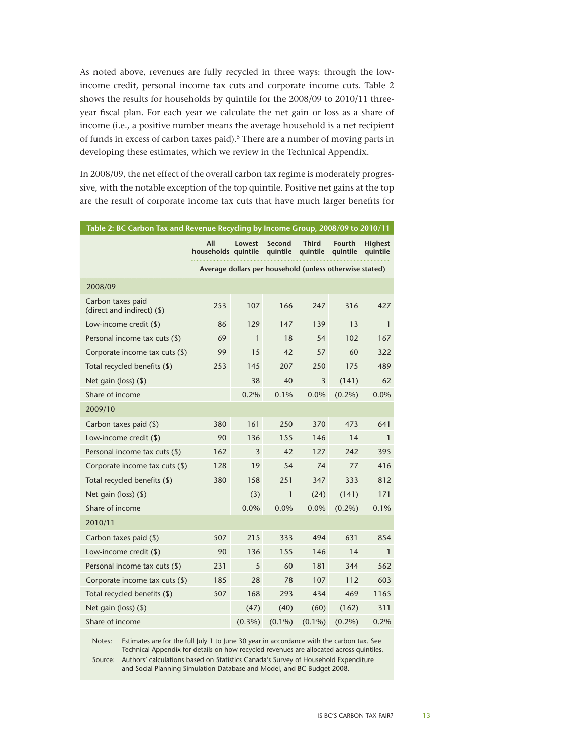As noted above, revenues are fully recycled in three ways: through the lowincome credit, personal income tax cuts and corporate income cuts. Table 2 shows the results for households by quintile for the 2008/09 to 2010/11 threeyear fiscal plan. For each year we calculate the net gain or loss as a share of income (i.e., a positive number means the average household is a net recipient of funds in excess of carbon taxes paid).<sup>5</sup> There are a number of moving parts in developing these estimates, which we review in the Technical Appendix.

In 2008/09, the net effect of the overall carbon tax regime is moderately progressive, with the notable exception of the top quintile. Positive net gains at the top are the result of corporate income tax cuts that have much larger benefits for

| Table 2: BC Carbon Tax and Revenue Recycling by Income Group, 2008/09 to 2010/11 |                            |                |                    |                                                         |                    |                            |  |
|----------------------------------------------------------------------------------|----------------------------|----------------|--------------------|---------------------------------------------------------|--------------------|----------------------------|--|
|                                                                                  | All<br>households quintile | Lowest         | Second<br>quintile | <b>Third</b><br>quintile                                | Fourth<br>quintile | <b>Highest</b><br>quintile |  |
|                                                                                  |                            |                |                    | Average dollars per household (unless otherwise stated) |                    |                            |  |
| 2008/09                                                                          |                            |                |                    |                                                         |                    |                            |  |
| Carbon taxes paid<br>(direct and indirect) (\$)                                  | 253                        | 107            | 166                | 247                                                     | 316                | 427                        |  |
| Low-income credit (\$)                                                           | 86                         | 129            | 147                | 139                                                     | 13                 | $\mathbf{1}$               |  |
| Personal income tax cuts (\$)                                                    | 69                         | $\mathbf{1}$   | 18                 | 54                                                      | 102                | 167                        |  |
| Corporate income tax cuts (\$)                                                   | 99                         | 15             | 42                 | 57                                                      | 60                 | 322                        |  |
| Total recycled benefits (\$)                                                     | 253                        | 145            | 207                | 250                                                     | 175                | 489                        |  |
| Net gain (loss) $($ \$)                                                          |                            | 38             | 40                 | 3                                                       | (141)              | 62                         |  |
| Share of income                                                                  |                            | 0.2%           | 0.1%               | 0.0%                                                    | $(0.2\%)$          | 0.0%                       |  |
| 2009/10                                                                          |                            |                |                    |                                                         |                    |                            |  |
| Carbon taxes paid (\$)                                                           | 380                        | 161            | 250                | 370                                                     | 473                | 641                        |  |
| Low-income credit (\$)                                                           | 90                         | 136            | 155                | 146                                                     | 14                 | $\mathbf{1}$               |  |
| Personal income tax cuts (\$)                                                    | 162                        | $\overline{3}$ | 42                 | 127                                                     | 242                | 395                        |  |
| Corporate income tax cuts (\$)                                                   | 128                        | 19             | 54                 | 74                                                      | 77                 | 416                        |  |
| Total recycled benefits (\$)                                                     | 380                        | 158            | 251                | 347                                                     | 333                | 812                        |  |
| Net gain (loss) (\$)                                                             |                            | (3)            | $\mathbf{1}$       | (24)                                                    | (141)              | 171                        |  |
| Share of income                                                                  |                            | 0.0%           | 0.0%               | 0.0%                                                    | $(0.2\%)$          | 0.1%                       |  |
| 2010/11                                                                          |                            |                |                    |                                                         |                    |                            |  |
| Carbon taxes paid (\$)                                                           | 507                        | 215            | 333                | 494                                                     | 631                | 854                        |  |
| Low-income credit (\$)                                                           | 90                         | 136            | 155                | 146                                                     | 14                 | 1                          |  |
| Personal income tax cuts (\$)                                                    | 231                        | 5              | 60                 | 181                                                     | 344                | 562                        |  |
| Corporate income tax cuts (\$)                                                   | 185                        | 28             | 78                 | 107                                                     | 112                | 603                        |  |
| Total recycled benefits (\$)                                                     | 507                        | 168            | 293                | 434                                                     | 469                | 1165                       |  |
| Net gain (loss) $($ \$)                                                          |                            | (47)           | (40)               | (60)                                                    | (162)              | 311                        |  |
| Share of income                                                                  |                            | $(0.3\%)$      | $(0.1\%)$          | $(0.1\%)$                                               | $(0.2\%)$          | 0.2%                       |  |

Notes: Estimates are for the full July 1 to June 30 year in accordance with the carbon tax. See Technical Appendix for details on how recycled revenues are allocated across quintiles.

Source: Authors' calculations based on Statistics Canada's Survey of Household Expenditure and Social Planning Simulation Database and Model, and BC Budget 2008.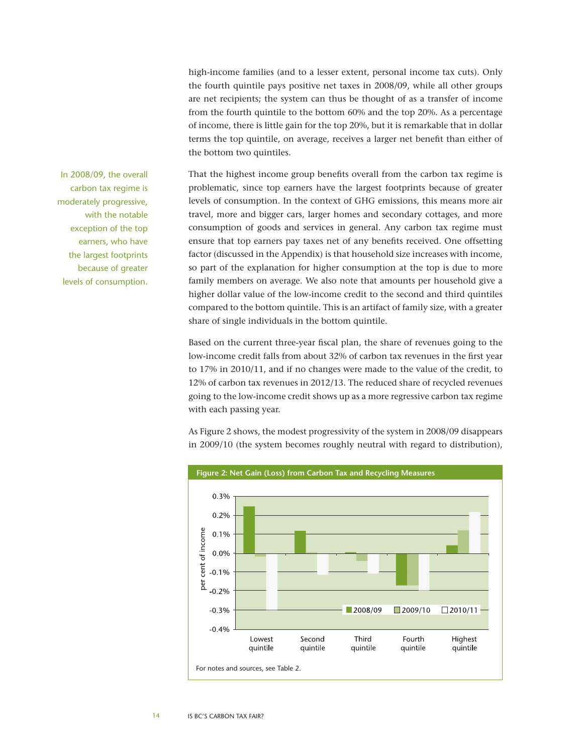high-income families (and to a lesser extent, personal income tax cuts). Only the fourth quintile pays positive net taxes in 2008/09, while all other groups are net recipients; the system can thus be thought of as a transfer of income from the fourth quintile to the bottom 60% and the top 20%. As a percentage of income, there is little gain for the top 20%, but it is remarkable that in dollar terms the top quintile, on average, receives a larger net benefit than either of the bottom two quintiles.

That the highest income group benefits overall from the carbon tax regime is problematic, since top earners have the largest footprints because of greater levels of consumption. In the context of GHG emissions, this means more air travel, more and bigger cars, larger homes and secondary cottages, and more consumption of goods and services in general. Any carbon tax regime must ensure that top earners pay taxes net of any benefits received. One offsetting factor (discussed in the Appendix) is that household size increases with income, so part of the explanation for higher consumption at the top is due to more family members on average. We also note that amounts per household give a higher dollar value of the low-income credit to the second and third quintiles compared to the bottom quintile. This is an artifact of family size, with a greater share of single individuals in the bottom quintile.

Based on the current three-year fiscal plan, the share of revenues going to the low-income credit falls from about 32% of carbon tax revenues in the first year to 17% in 2010/11, and if no changes were made to the value of the credit, to 12% of carbon tax revenues in 2012/13. The reduced share of recycled revenues going to the low-income credit shows up as a more regressive carbon tax regime with each passing year.

As Figure 2 shows, the modest progressivity of the system in 2008/09 disappears in 2009/10 (the system becomes roughly neutral with regard to distribution),



In 2008/09, the overall carbon tax regime is moderately progressive, with the notable exception of the top earners, who have the largest footprints because of greater levels of consumption.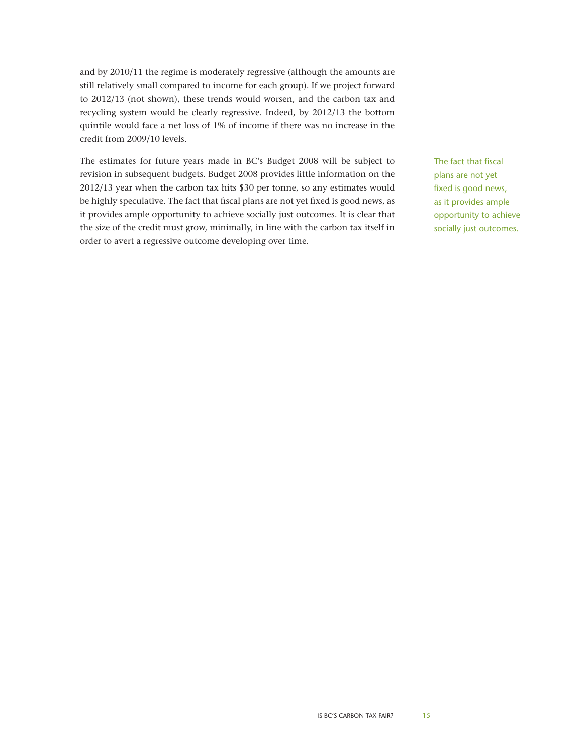and by 2010/11 the regime is moderately regressive (although the amounts are still relatively small compared to income for each group). If we project forward to 2012/13 (not shown), these trends would worsen, and the carbon tax and recycling system would be clearly regressive. Indeed, by 2012/13 the bottom quintile would face a net loss of 1% of income if there was no increase in the credit from 2009/10 levels.

The estimates for future years made in BC's Budget 2008 will be subject to revision in subsequent budgets. Budget 2008 provides little information on the 2012/13 year when the carbon tax hits \$30 per tonne, so any estimates would be highly speculative. The fact that fiscal plans are not yet fixed is good news, as it provides ample opportunity to achieve socially just outcomes. It is clear that the size of the credit must grow, minimally, in line with the carbon tax itself in order to avert a regressive outcome developing over time.

The fact that fiscal plans are not yet fixed is good news, as it provides ample opportunity to achieve socially just outcomes.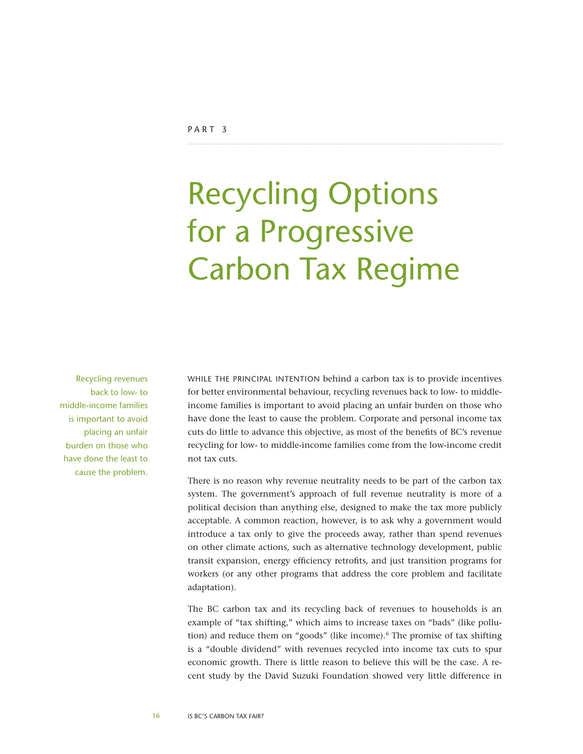# <span id="page-15-0"></span>Recycling Options for a Progressive Carbon Tax Regime

Recycling revenues back to low- to middle-income families is important to avoid placing an unfair burden on those who have done the least to cause the problem.

WHILE THE PRINCIPAL INTENTION behind a carbon tax is to provide incentives for better environmental behaviour, recycling revenues back to low- to middleincome families is important to avoid placing an unfair burden on those who have done the least to cause the problem. Corporate and personal income tax cuts do little to advance this objective, as most of the benefits of BC's revenue recycling for low- to middle-income families come from the low-income credit not tax cuts.

There is no reason why revenue neutrality needs to be part of the carbon tax system. The government's approach of full revenue neutrality is more of a political decision than anything else, designed to make the tax more publicly acceptable. A common reaction, however, is to ask why a government would introduce a tax only to give the proceeds away, rather than spend revenues on other climate actions, such as alternative technology development, public transit expansion, energy efficiency retrofits, and just transition programs for workers (or any other programs that address the core problem and facilitate adaptation).

The BC carbon tax and its recycling back of revenues to households is an example of "tax shifting," which aims to increase taxes on "bads" (like pollution) and reduce them on "goods" (like income).<sup>6</sup> The promise of tax shifting is a "double dividend" with revenues recycled into income tax cuts to spur economic growth. There is little reason to believe this will be the case. A recent study by the David Suzuki Foundation showed very little difference in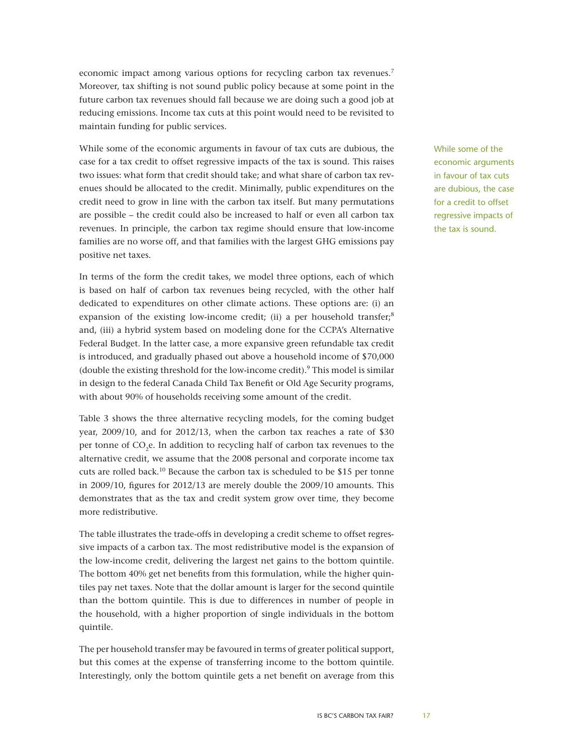economic impact among various options for recycling carbon tax revenues.<sup>7</sup> Moreover, tax shifting is not sound public policy because at some point in the future carbon tax revenues should fall because we are doing such a good job at reducing emissions. Income tax cuts at this point would need to be revisited to maintain funding for public services.

While some of the economic arguments in favour of tax cuts are dubious, the case for a tax credit to offset regressive impacts of the tax is sound. This raises two issues: what form that credit should take; and what share of carbon tax revenues should be allocated to the credit. Minimally, public expenditures on the credit need to grow in line with the carbon tax itself. But many permutations are possible – the credit could also be increased to half or even all carbon tax revenues. In principle, the carbon tax regime should ensure that low-income families are no worse off, and that families with the largest GHG emissions pay positive net taxes.

In terms of the form the credit takes, we model three options, each of which is based on half of carbon tax revenues being recycled, with the other half dedicated to expenditures on other climate actions. These options are: (i) an expansion of the existing low-income credit; (ii) a per household transfer;<sup>8</sup> and, (iii) a hybrid system based on modeling done for the CCPA's Alternative Federal Budget. In the latter case, a more expansive green refundable tax credit is introduced, and gradually phased out above a household income of \$70,000 (double the existing threshold for the low-income credit). $9$  This model is similar in design to the federal Canada Child Tax Benefit or Old Age Security programs, with about 90% of households receiving some amount of the credit.

Table 3 shows the three alternative recycling models, for the coming budget year, 2009/10, and for 2012/13, when the carbon tax reaches a rate of \$30 per tonne of CO<sub>2</sub>e. In addition to recycling half of carbon tax revenues to the alternative credit, we assume that the 2008 personal and corporate income tax cuts are rolled back.<sup>10</sup> Because the carbon tax is scheduled to be \$15 per tonne in 2009/10, figures for 2012/13 are merely double the 2009/10 amounts. This demonstrates that as the tax and credit system grow over time, they become more redistributive.

The table illustrates the trade-offs in developing a credit scheme to offset regressive impacts of a carbon tax. The most redistributive model is the expansion of the low-income credit, delivering the largest net gains to the bottom quintile. The bottom 40% get net benefits from this formulation, while the higher quintiles pay net taxes. Note that the dollar amount is larger for the second quintile than the bottom quintile. This is due to differences in number of people in the household, with a higher proportion of single individuals in the bottom quintile.

The per household transfer may be favoured in terms of greater political support, but this comes at the expense of transferring income to the bottom quintile. Interestingly, only the bottom quintile gets a net benefit on average from this While some of the economic arguments in favour of tax cuts are dubious, the case for a credit to offset regressive impacts of the tax is sound.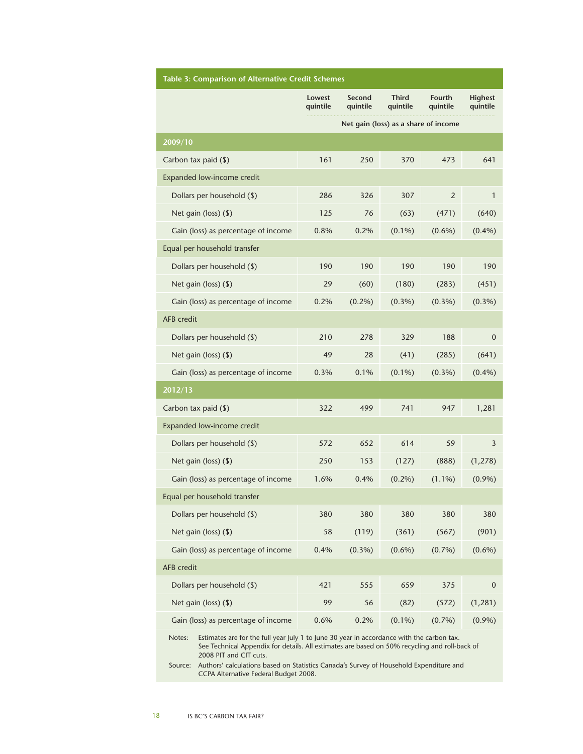| <b>Table 3: Comparison of Alternative Credit Schemes</b>                                            |                    |                    |                          |                    |                            |  |  |
|-----------------------------------------------------------------------------------------------------|--------------------|--------------------|--------------------------|--------------------|----------------------------|--|--|
|                                                                                                     | Lowest<br>quintile | Second<br>quintile | <b>Third</b><br>quintile | Fourth<br>quintile | <b>Highest</b><br>quintile |  |  |
| Net gain (loss) as a share of income                                                                |                    |                    |                          |                    |                            |  |  |
| 2009/10                                                                                             |                    |                    |                          |                    |                            |  |  |
| Carbon tax paid (\$)                                                                                | 161                | 250                | 370                      | 473                | 641                        |  |  |
| Expanded low-income credit                                                                          |                    |                    |                          |                    |                            |  |  |
| Dollars per household (\$)                                                                          | 286                | 326                | 307                      | $\overline{2}$     | 1                          |  |  |
| Net gain (loss) (\$)                                                                                | 125                | 76                 | (63)                     | (471)              | (640)                      |  |  |
| Gain (loss) as percentage of income                                                                 | 0.8%               | 0.2%               | $(0.1\%)$                | $(0.6\%)$          | $(0.4\%)$                  |  |  |
| Equal per household transfer                                                                        |                    |                    |                          |                    |                            |  |  |
| Dollars per household (\$)                                                                          | 190                | 190                | 190                      | 190                | 190                        |  |  |
| Net gain (loss) (\$)                                                                                | 29                 | (60)               | (180)                    | (283)              | (451)                      |  |  |
| Gain (loss) as percentage of income                                                                 | 0.2%               | $(0.2\%)$          | $(0.3\%)$                | $(0.3\%)$          | $(0.3\%)$                  |  |  |
| <b>AFB</b> credit                                                                                   |                    |                    |                          |                    |                            |  |  |
| Dollars per household (\$)                                                                          | 210                | 278                | 329                      | 188                | $\mathbf{0}$               |  |  |
| Net gain (loss) (\$)                                                                                | 49                 | 28                 | (41)                     | (285)              | (641)                      |  |  |
| Gain (loss) as percentage of income                                                                 | 0.3%               | 0.1%               | $(0.1\%)$                | $(0.3\%)$          | $(0.4\%)$                  |  |  |
| 2012/13                                                                                             |                    |                    |                          |                    |                            |  |  |
| Carbon tax paid (\$)                                                                                | 322                | 499                | 741                      | 947                | 1,281                      |  |  |
| Expanded low-income credit                                                                          |                    |                    |                          |                    |                            |  |  |
| Dollars per household (\$)                                                                          | 572                | 652                | 614                      | 59                 | 3                          |  |  |
| Net gain (loss) (\$)                                                                                | 250                | 153                | (127)                    | (888)              | (1, 278)                   |  |  |
| Gain (loss) as percentage of income                                                                 | 1.6%               | 0.4%               | $(0.2\%)$                | $(1.1\%)$          | $(0.9\%)$                  |  |  |
| Equal per household transfer                                                                        |                    |                    |                          |                    |                            |  |  |
| Dollars per household (\$)                                                                          | 380                | 380                | 380                      | 380                | 380                        |  |  |
| Net gain (loss) (\$)                                                                                | 58                 | (119)              | (361)                    | (567)              | (901)                      |  |  |
| Gain (loss) as percentage of income                                                                 | 0.4%               | $(0.3\%)$          | $(0.6\%)$                | $(0.7\%)$          | $(0.6\%)$                  |  |  |
| AFB credit                                                                                          |                    |                    |                          |                    |                            |  |  |
| Dollars per household (\$)                                                                          | 421                | 555                | 659                      | 375                | $\mathbf 0$                |  |  |
| Net gain (loss) (\$)                                                                                | 99                 | 56                 | (82)                     | (572)              | (1, 281)                   |  |  |
| Gain (loss) as percentage of income                                                                 | 0.6%               | 0.2%               | $(0.1\%)$                | (0.7%)             | $(0.9\%)$                  |  |  |
| Notes:<br>Estimates are for the full year July 1 to June 30 year in accordance with the carbon tax. |                    |                    |                          |                    |                            |  |  |

See Technical Appendix for details. All estimates are based on 50% recycling and roll-back of 2008 PIT and CIT cuts.

Source: Authors' calculations based on Statistics Canada's Survey of Household Expenditure and CCPA Alternative Federal Budget 2008.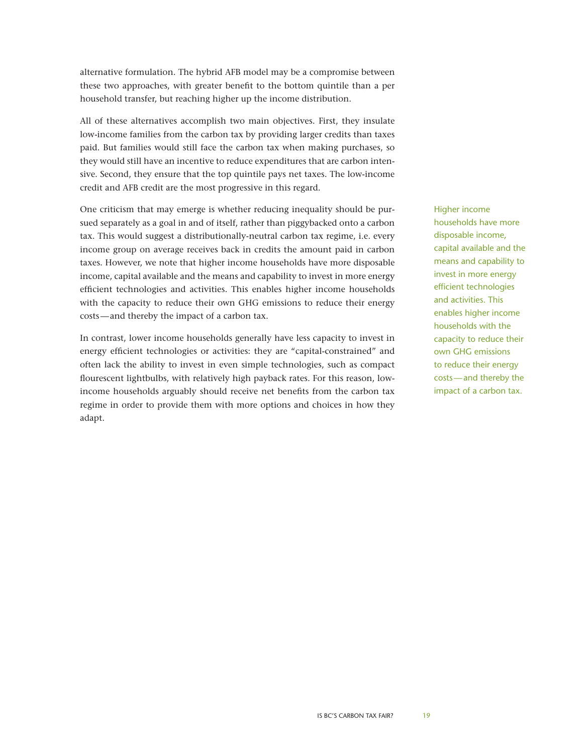alternative formulation. The hybrid AFB model may be a compromise between these two approaches, with greater benefit to the bottom quintile than a per household transfer, but reaching higher up the income distribution.

All of these alternatives accomplish two main objectives. First, they insulate low-income families from the carbon tax by providing larger credits than taxes paid. But families would still face the carbon tax when making purchases, so they would still have an incentive to reduce expenditures that are carbon intensive. Second, they ensure that the top quintile pays net taxes. The low-income credit and AFB credit are the most progressive in this regard.

One criticism that may emerge is whether reducing inequality should be pursued separately as a goal in and of itself, rather than piggybacked onto a carbon tax. This would suggest a distributionally-neutral carbon tax regime, i.e. every income group on average receives back in credits the amount paid in carbon taxes. However, we note that higher income households have more disposable income, capital available and the means and capability to invest in more energy efficient technologies and activities. This enables higher income households with the capacity to reduce their own GHG emissions to reduce their energy costs—and thereby the impact of a carbon tax.

In contrast, lower income households generally have less capacity to invest in energy efficient technologies or activities: they are "capital-constrained" and often lack the ability to invest in even simple technologies, such as compact flourescent lightbulbs, with relatively high payback rates. For this reason, lowincome households arguably should receive net benefits from the carbon tax regime in order to provide them with more options and choices in how they adapt.

Higher income households have more disposable income, capital available and the means and capability to invest in more energy efficient technologies and activities. This enables higher income households with the capacity to reduce their own GHG emissions to reduce their energy costs—and thereby the impact of a carbon tax.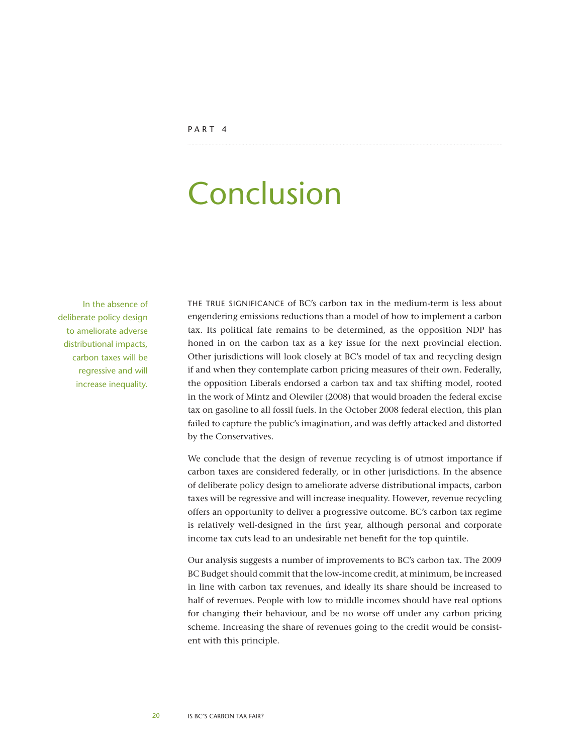## <span id="page-19-0"></span>Conclusion

In the absence of deliberate policy design to ameliorate adverse distributional impacts, carbon taxes will be regressive and will increase inequality.

THE TRUE SIGNIFICANCE of BC's carbon tax in the medium-term is less about engendering emissions reductions than a model of how to implement a carbon tax. Its political fate remains to be determined, as the opposition NDP has honed in on the carbon tax as a key issue for the next provincial election. Other jurisdictions will look closely at BC's model of tax and recycling design if and when they contemplate carbon pricing measures of their own. Federally, the opposition Liberals endorsed a carbon tax and tax shifting model, rooted in the work of Mintz and Olewiler (2008) that would broaden the federal excise tax on gasoline to all fossil fuels. In the October 2008 federal election, this plan failed to capture the public's imagination, and was deftly attacked and distorted by the Conservatives.

We conclude that the design of revenue recycling is of utmost importance if carbon taxes are considered federally, or in other jurisdictions. In the absence of deliberate policy design to ameliorate adverse distributional impacts, carbon taxes will be regressive and will increase inequality. However, revenue recycling offers an opportunity to deliver a progressive outcome. BC's carbon tax regime is relatively well-designed in the first year, although personal and corporate income tax cuts lead to an undesirable net benefit for the top quintile.

Our analysis suggests a number of improvements to BC's carbon tax. The 2009 BC Budget should commit that the low-income credit, at minimum, be increased in line with carbon tax revenues, and ideally its share should be increased to half of revenues. People with low to middle incomes should have real options for changing their behaviour, and be no worse off under any carbon pricing scheme. Increasing the share of revenues going to the credit would be consistent with this principle.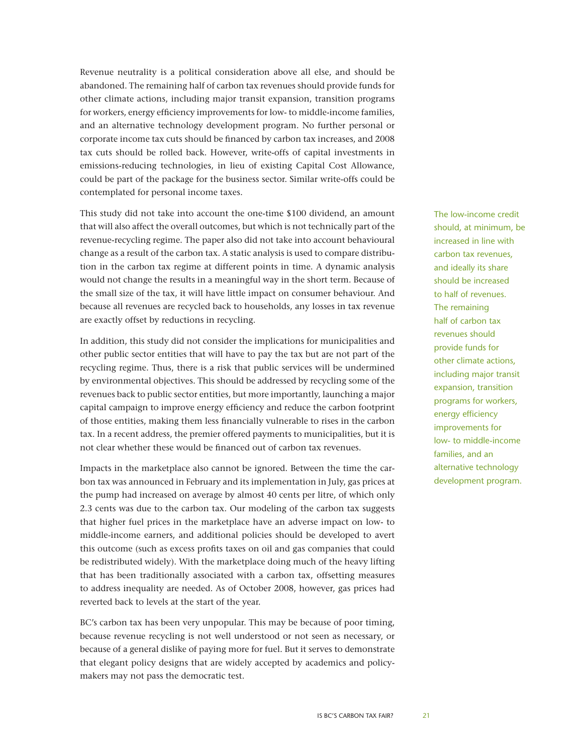Revenue neutrality is a political consideration above all else, and should be abandoned. The remaining half of carbon tax revenues should provide funds for other climate actions, including major transit expansion, transition programs for workers, energy efficiency improvements for low- to middle-income families, and an alternative technology development program. No further personal or corporate income tax cuts should be financed by carbon tax increases, and 2008 tax cuts should be rolled back. However, write-offs of capital investments in emissions-reducing technologies, in lieu of existing Capital Cost Allowance, could be part of the package for the business sector. Similar write-offs could be contemplated for personal income taxes.

This study did not take into account the one-time \$100 dividend, an amount that will also affect the overall outcomes, but which is not technically part of the revenue-recycling regime. The paper also did not take into account behavioural change as a result of the carbon tax. A static analysis is used to compare distribution in the carbon tax regime at different points in time. A dynamic analysis would not change the results in a meaningful way in the short term. Because of the small size of the tax, it will have little impact on consumer behaviour. And because all revenues are recycled back to households, any losses in tax revenue are exactly offset by reductions in recycling.

In addition, this study did not consider the implications for municipalities and other public sector entities that will have to pay the tax but are not part of the recycling regime. Thus, there is a risk that public services will be undermined by environmental objectives. This should be addressed by recycling some of the revenues back to public sector entities, but more importantly, launching a major capital campaign to improve energy efficiency and reduce the carbon footprint of those entities, making them less financially vulnerable to rises in the carbon tax. In a recent address, the premier offered payments to municipalities, but it is not clear whether these would be financed out of carbon tax revenues.

Impacts in the marketplace also cannot be ignored. Between the time the carbon tax was announced in February and its implementation in July, gas prices at the pump had increased on average by almost 40 cents per litre, of which only 2.3 cents was due to the carbon tax. Our modeling of the carbon tax suggests that higher fuel prices in the marketplace have an adverse impact on low- to middle-income earners, and additional policies should be developed to avert this outcome (such as excess profits taxes on oil and gas companies that could be redistributed widely). With the marketplace doing much of the heavy lifting that has been traditionally associated with a carbon tax, offsetting measures to address inequality are needed. As of October 2008, however, gas prices had reverted back to levels at the start of the year.

BC's carbon tax has been very unpopular. This may be because of poor timing, because revenue recycling is not well understood or not seen as necessary, or because of a general dislike of paying more for fuel. But it serves to demonstrate that elegant policy designs that are widely accepted by academics and policymakers may not pass the democratic test.

The low-income credit should, at minimum, be increased in line with carbon tax revenues, and ideally its share should be increased to half of revenues. The remaining half of carbon tax revenues should provide funds for other climate actions, including major transit expansion, transition programs for workers, energy efficiency improvements for low- to middle-income families, and an alternative technology development program.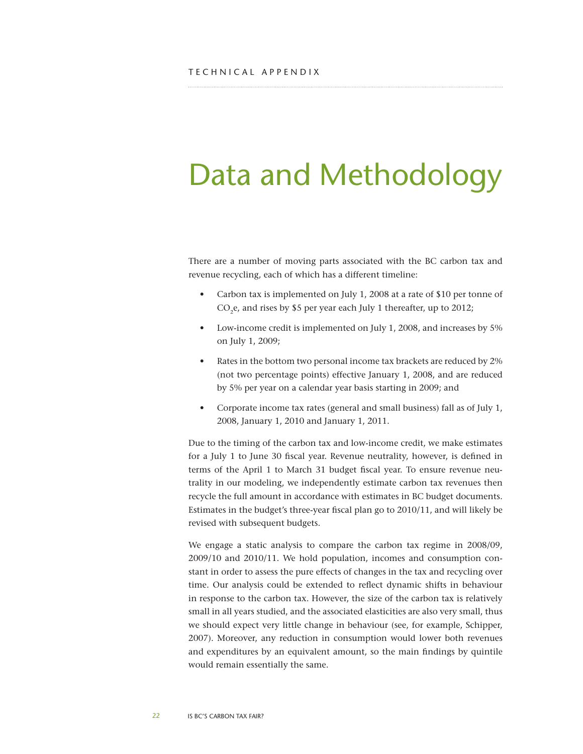# <span id="page-21-0"></span>Data and Methodology

There are a number of moving parts associated with the BC carbon tax and revenue recycling, each of which has a different timeline:

- Carbon tax is implemented on July 1, 2008 at a rate of \$10 per tonne of CO<sub>2</sub>e, and rises by \$5 per year each July 1 thereafter, up to 2012;
- • Low-income credit is implemented on July 1, 2008, and increases by 5% on July 1, 2009;
- Rates in the bottom two personal income tax brackets are reduced by 2% (not two percentage points) effective January 1, 2008, and are reduced by 5% per year on a calendar year basis starting in 2009; and
- • Corporate income tax rates (general and small business) fall as of July 1, 2008, January 1, 2010 and January 1, 2011.

Due to the timing of the carbon tax and low-income credit, we make estimates for a July 1 to June 30 fiscal year. Revenue neutrality, however, is defined in terms of the April 1 to March 31 budget fiscal year. To ensure revenue neutrality in our modeling, we independently estimate carbon tax revenues then recycle the full amount in accordance with estimates in BC budget documents. Estimates in the budget's three-year fiscal plan go to 2010/11, and will likely be revised with subsequent budgets.

We engage a static analysis to compare the carbon tax regime in 2008/09, 2009/10 and 2010/11. We hold population, incomes and consumption constant in order to assess the pure effects of changes in the tax and recycling over time. Our analysis could be extended to reflect dynamic shifts in behaviour in response to the carbon tax. However, the size of the carbon tax is relatively small in all years studied, and the associated elasticities are also very small, thus we should expect very little change in behaviour (see, for example, Schipper, 2007). Moreover, any reduction in consumption would lower both revenues and expenditures by an equivalent amount, so the main findings by quintile would remain essentially the same.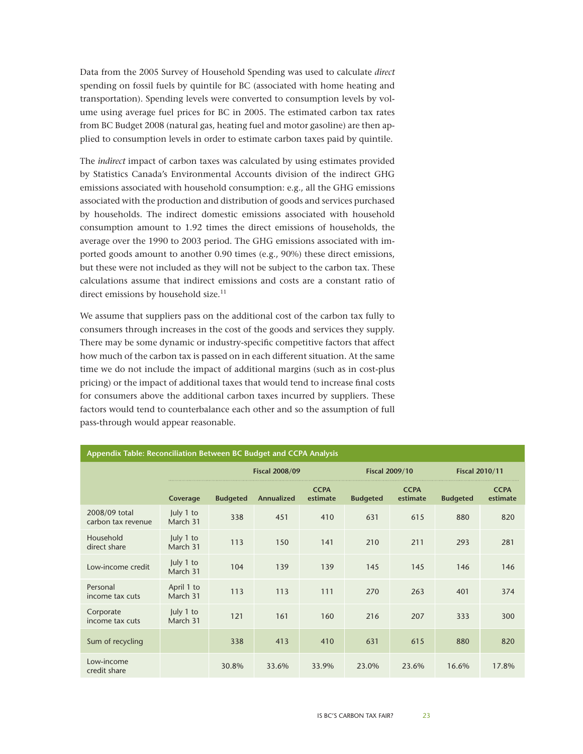Data from the 2005 Survey of Household Spending was used to calculate *direct* spending on fossil fuels by quintile for BC (associated with home heating and transportation). Spending levels were converted to consumption levels by volume using average fuel prices for BC in 2005. The estimated carbon tax rates from BC Budget 2008 (natural gas, heating fuel and motor gasoline) are then applied to consumption levels in order to estimate carbon taxes paid by quintile.

The *indirect* impact of carbon taxes was calculated by using estimates provided by Statistics Canada's Environmental Accounts division of the indirect GHG emissions associated with household consumption: e.g., all the GHG emissions associated with the production and distribution of goods and services purchased by households. The indirect domestic emissions associated with household consumption amount to 1.92 times the direct emissions of households, the average over the 1990 to 2003 period. The GHG emissions associated with imported goods amount to another 0.90 times (e.g., 90%) these direct emissions, but these were not included as they will not be subject to the carbon tax. These calculations assume that indirect emissions and costs are a constant ratio of direct emissions by household size.<sup>11</sup>

We assume that suppliers pass on the additional cost of the carbon tax fully to consumers through increases in the cost of the goods and services they supply. There may be some dynamic or industry-specific competitive factors that affect how much of the carbon tax is passed on in each different situation. At the same time we do not include the impact of additional margins (such as in cost-plus pricing) or the impact of additional taxes that would tend to increase final costs for consumers above the additional carbon taxes incurred by suppliers. These factors would tend to counterbalance each other and so the assumption of full pass-through would appear reasonable.

| Appendix Table: Reconciliation Between BC Budget and CCPA Analysis |                        |                       |            |                         |                 |                         |                 |                         |
|--------------------------------------------------------------------|------------------------|-----------------------|------------|-------------------------|-----------------|-------------------------|-----------------|-------------------------|
|                                                                    |                        | <b>Fiscal 2008/09</b> |            | <b>Fiscal 2009/10</b>   |                 | <b>Fiscal 2010/11</b>   |                 |                         |
|                                                                    | Coverage               | <b>Budgeted</b>       | Annualized | <b>CCPA</b><br>estimate | <b>Budgeted</b> | <b>CCPA</b><br>estimate | <b>Budgeted</b> | <b>CCPA</b><br>estimate |
| 2008/09 total<br>carbon tax revenue                                | July 1 to<br>March 31  | 338                   | 451        | 410                     | 631             | 615                     | 880             | 820                     |
| Household<br>direct share                                          | July 1 to<br>March 31  | 113                   | 150        | 141                     | 210             | 211                     | 293             | 281                     |
| Low-income credit                                                  | July 1 to<br>March 31  | 104                   | 139        | 139                     | 145             | 145                     | 146             | 146                     |
| Personal<br>income tax cuts                                        | April 1 to<br>March 31 | 113                   | 113        | 111                     | 270             | 263                     | 401             | 374                     |
| Corporate<br>income tax cuts                                       | July 1 to<br>March 31  | 121                   | 161        | 160                     | 216             | 207                     | 333             | 300                     |
| Sum of recycling                                                   |                        | 338                   | 413        | 410                     | 631             | 615                     | 880             | 820                     |
| Low-income<br>credit share                                         |                        | 30.8%                 | 33.6%      | 33.9%                   | 23.0%           | 23.6%                   | 16.6%           | 17.8%                   |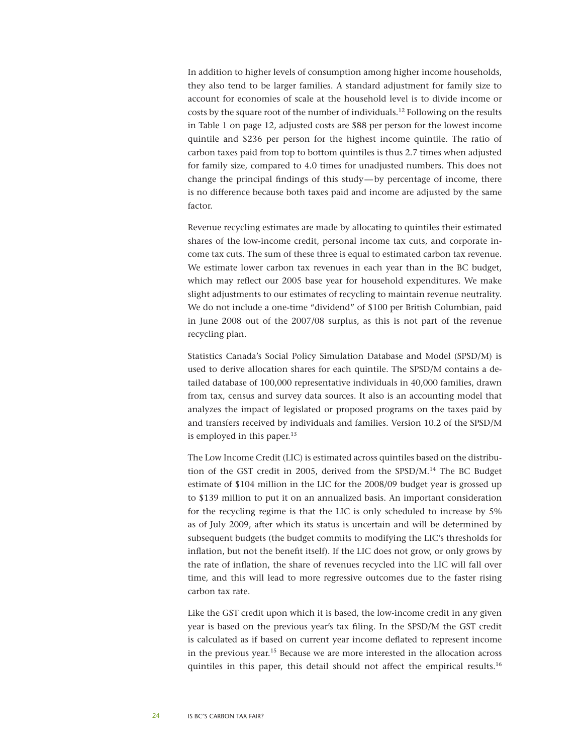In addition to higher levels of consumption among higher income households, they also tend to be larger families. A standard adjustment for family size to account for economies of scale at the household level is to divide income or costs by the square root of the number of individuals.12 Following on the results in Table 1 on page 12, adjusted costs are \$88 per person for the lowest income quintile and \$236 per person for the highest income quintile. The ratio of carbon taxes paid from top to bottom quintiles is thus 2.7 times when adjusted for family size, compared to 4.0 times for unadjusted numbers. This does not change the principal findings of this study—by percentage of income, there is no difference because both taxes paid and income are adjusted by the same factor.

Revenue recycling estimates are made by allocating to quintiles their estimated shares of the low-income credit, personal income tax cuts, and corporate income tax cuts. The sum of these three is equal to estimated carbon tax revenue. We estimate lower carbon tax revenues in each year than in the BC budget, which may reflect our 2005 base year for household expenditures. We make slight adjustments to our estimates of recycling to maintain revenue neutrality. We do not include a one-time "dividend" of \$100 per British Columbian, paid in June 2008 out of the 2007/08 surplus, as this is not part of the revenue recycling plan.

Statistics Canada's Social Policy Simulation Database and Model (SPSD/M) is used to derive allocation shares for each quintile. The SPSD/M contains a detailed database of 100,000 representative individuals in 40,000 families, drawn from tax, census and survey data sources. It also is an accounting model that analyzes the impact of legislated or proposed programs on the taxes paid by and transfers received by individuals and families. Version 10.2 of the SPSD/M is employed in this paper.<sup>13</sup>

The Low Income Credit (LIC) is estimated across quintiles based on the distribution of the GST credit in 2005, derived from the SPSD/M.<sup>14</sup> The BC Budget estimate of \$104 million in the LIC for the 2008/09 budget year is grossed up to \$139 million to put it on an annualized basis. An important consideration for the recycling regime is that the LIC is only scheduled to increase by 5% as of July 2009, after which its status is uncertain and will be determined by subsequent budgets (the budget commits to modifying the LIC's thresholds for inflation, but not the benefit itself). If the LIC does not grow, or only grows by the rate of inflation, the share of revenues recycled into the LIC will fall over time, and this will lead to more regressive outcomes due to the faster rising carbon tax rate.

Like the GST credit upon which it is based, the low-income credit in any given year is based on the previous year's tax filing. In the SPSD/M the GST credit is calculated as if based on current year income deflated to represent income in the previous year.15 Because we are more interested in the allocation across quintiles in this paper, this detail should not affect the empirical results.16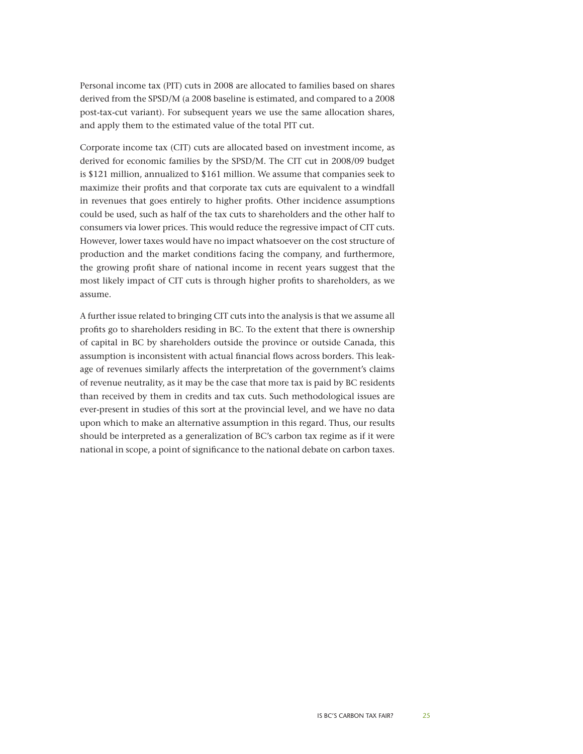Personal income tax (PIT) cuts in 2008 are allocated to families based on shares derived from the SPSD/M (a 2008 baseline is estimated, and compared to a 2008 post-tax-cut variant). For subsequent years we use the same allocation shares, and apply them to the estimated value of the total PIT cut.

Corporate income tax (CIT) cuts are allocated based on investment income, as derived for economic families by the SPSD/M. The CIT cut in 2008/09 budget is \$121 million, annualized to \$161 million. We assume that companies seek to maximize their profits and that corporate tax cuts are equivalent to a windfall in revenues that goes entirely to higher profits. Other incidence assumptions could be used, such as half of the tax cuts to shareholders and the other half to consumers via lower prices. This would reduce the regressive impact of CIT cuts. However, lower taxes would have no impact whatsoever on the cost structure of production and the market conditions facing the company, and furthermore, the growing profit share of national income in recent years suggest that the most likely impact of CIT cuts is through higher profits to shareholders, as we assume.

A further issue related to bringing CIT cuts into the analysis is that we assume all profits go to shareholders residing in BC. To the extent that there is ownership of capital in BC by shareholders outside the province or outside Canada, this assumption is inconsistent with actual financial flows across borders. This leakage of revenues similarly affects the interpretation of the government's claims of revenue neutrality, as it may be the case that more tax is paid by BC residents than received by them in credits and tax cuts. Such methodological issues are ever-present in studies of this sort at the provincial level, and we have no data upon which to make an alternative assumption in this regard. Thus, our results should be interpreted as a generalization of BC's carbon tax regime as if it were national in scope, a point of significance to the national debate on carbon taxes.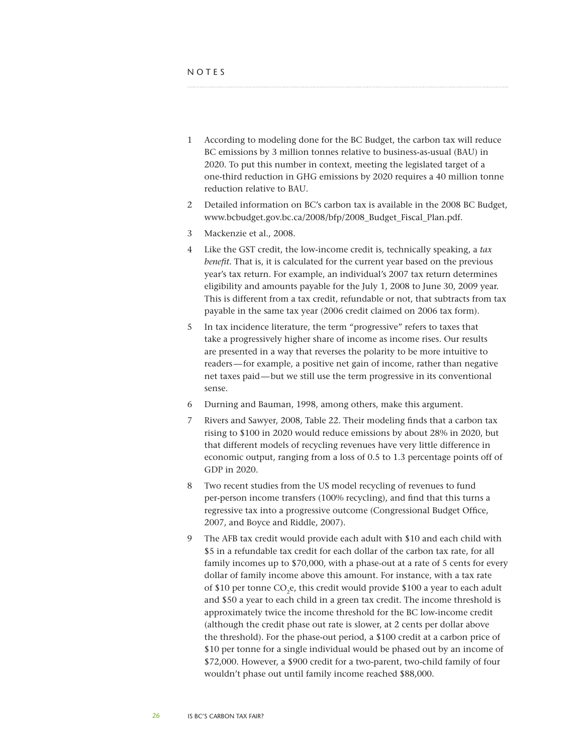- <span id="page-25-0"></span>1 According to modeling done for the BC Budget, the carbon tax will reduce BC emissions by 3 million tonnes relative to business-as-usual (BAU) in 2020. To put this number in context, meeting the legislated target of a one-third reduction in GHG emissions by 2020 requires a 40 million tonne reduction relative to BAU.
- 2 Detailed information on BC's carbon tax is available in the 2008 BC Budget, [www.bcbudget.gov.bc.ca/2008/bfp/2008\\_Budget\\_Fiscal\\_Plan.pdf.](http://www.bcbudget.gov.bc.ca/2008/bfp/2008_Budget_Fiscal_Plan.pdf)
- 3 Mackenzie et al., 2008.
- 4 Like the GST credit, the low-income credit is, technically speaking, a *tax benefit*. That is, it is calculated for the current year based on the previous year's tax return. For example, an individual's 2007 tax return determines eligibility and amounts payable for the July 1, 2008 to June 30, 2009 year. This is different from a tax credit, refundable or not, that subtracts from tax payable in the same tax year (2006 credit claimed on 2006 tax form).
- 5 In tax incidence literature, the term "progressive" refers to taxes that take a progressively higher share of income as income rises. Our results are presented in a way that reverses the polarity to be more intuitive to readers—for example, a positive net gain of income, rather than negative net taxes paid—but we still use the term progressive in its conventional sense.
- 6 Durning and Bauman, 1998, among others, make this argument.
- 7 Rivers and Sawyer, 2008, Table 22. Their modeling finds that a carbon tax rising to \$100 in 2020 would reduce emissions by about 28% in 2020, but that different models of recycling revenues have very little difference in economic output, ranging from a loss of 0.5 to 1.3 percentage points off of GDP in 2020.
- 8 Two recent studies from the US model recycling of revenues to fund per-person income transfers (100% recycling), and find that this turns a regressive tax into a progressive outcome (Congressional Budget Office, 2007, and Boyce and Riddle, 2007).
- 9 The AFB tax credit would provide each adult with \$10 and each child with \$5 in a refundable tax credit for each dollar of the carbon tax rate, for all family incomes up to \$70,000, with a phase-out at a rate of 5 cents for every dollar of family income above this amount. For instance, with a tax rate of \$10 per tonne  $CO<sub>2</sub>e$ , this credit would provide \$100 a year to each adult and \$50 a year to each child in a green tax credit. The income threshold is approximately twice the income threshold for the BC low-income credit (although the credit phase out rate is slower, at 2 cents per dollar above the threshold). For the phase-out period, a \$100 credit at a carbon price of \$10 per tonne for a single individual would be phased out by an income of \$72,000. However, a \$900 credit for a two-parent, two-child family of four wouldn't phase out until family income reached \$88,000.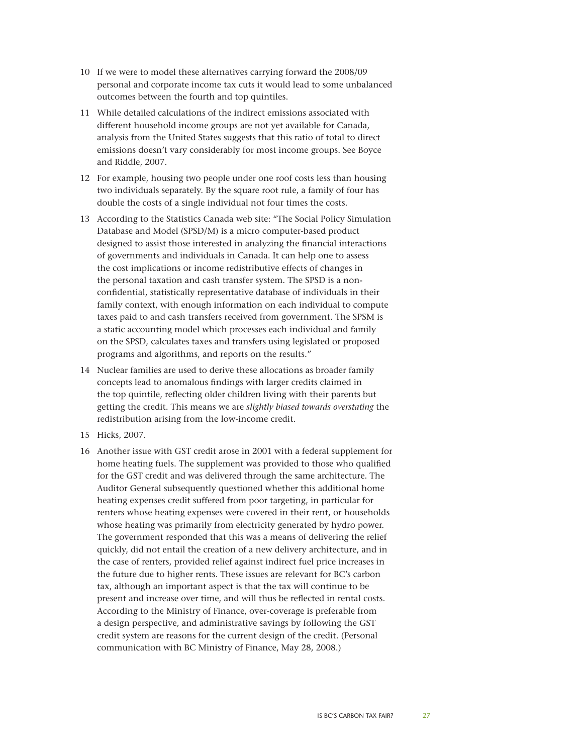- 10 If we were to model these alternatives carrying forward the 2008/09 personal and corporate income tax cuts it would lead to some unbalanced outcomes between the fourth and top quintiles.
- 11 While detailed calculations of the indirect emissions associated with different household income groups are not yet available for Canada, analysis from the United States suggests that this ratio of total to direct emissions doesn't vary considerably for most income groups. See Boyce and Riddle, 2007.
- 12 For example, housing two people under one roof costs less than housing two individuals separately. By the square root rule, a family of four has double the costs of a single individual not four times the costs.
- 13 According to the Statistics Canada web site: "The Social Policy Simulation Database and Model (SPSD/M) is a micro computer-based product designed to assist those interested in analyzing the financial interactions of governments and individuals in Canada. It can help one to assess the cost implications or income redistributive effects of changes in the personal taxation and cash transfer system. The SPSD is a nonconfidential, statistically representative database of individuals in their family context, with enough information on each individual to compute taxes paid to and cash transfers received from government. The SPSM is a static accounting model which processes each individual and family on the SPSD, calculates taxes and transfers using legislated or proposed programs and algorithms, and reports on the results."
- 14 Nuclear families are used to derive these allocations as broader family concepts lead to anomalous findings with larger credits claimed in the top quintile, reflecting older children living with their parents but getting the credit. This means we are *slightly biased towards overstating* the redistribution arising from the low-income credit.
- 15 Hicks, 2007.
- 16 Another issue with GST credit arose in 2001 with a federal supplement for home heating fuels. The supplement was provided to those who qualified for the GST credit and was delivered through the same architecture. The Auditor General subsequently questioned whether this additional home heating expenses credit suffered from poor targeting, in particular for renters whose heating expenses were covered in their rent, or households whose heating was primarily from electricity generated by hydro power. The government responded that this was a means of delivering the relief quickly, did not entail the creation of a new delivery architecture, and in the case of renters, provided relief against indirect fuel price increases in the future due to higher rents. These issues are relevant for BC's carbon tax, although an important aspect is that the tax will continue to be present and increase over time, and will thus be reflected in rental costs. According to the Ministry of Finance, over-coverage is preferable from a design perspective, and administrative savings by following the GST credit system are reasons for the current design of the credit. (Personal communication with BC Ministry of Finance, May 28, 2008.)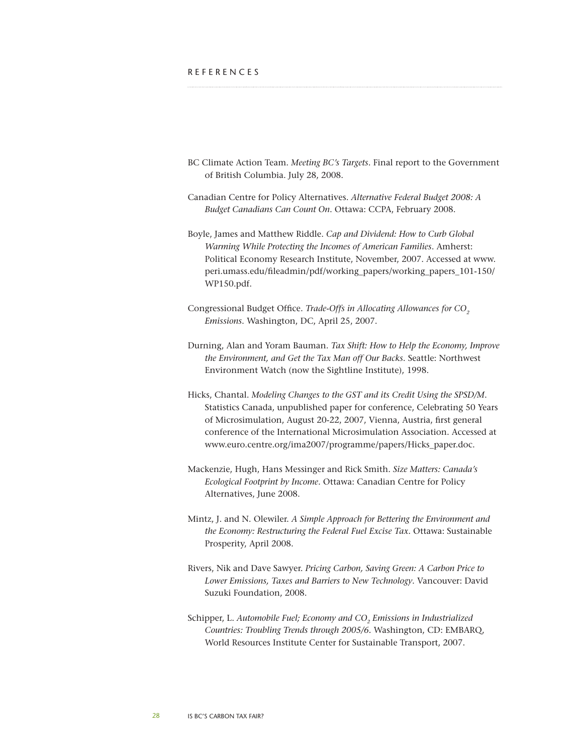<span id="page-27-0"></span>

- BC Climate Action Team. *Meeting BC's Targets*. Final report to the Government of British Columbia. July 28, 2008.
- Canadian Centre for Policy Alternatives. *Alternative Federal Budget 2008: A Budget Canadians Can Count On*. Ottawa: CCPA, February 2008.
- Boyle, James and Matthew Riddle. *Cap and Dividend: How to Curb Global Warming While Protecting the Incomes of American Families*. Amherst: Political Economy Research Institute, November, 2007. Accessed at [www.](http://www.peri.umass.edu/fileadmin/pdf/working_papers/working_papers_101-150/WP150.pdf) [peri.umass.edu/fileadmin/pdf/working\\_papers/working\\_papers\\_101-150/](http://www.peri.umass.edu/fileadmin/pdf/working_papers/working_papers_101-150/WP150.pdf) [WP150.pdf](http://www.peri.umass.edu/fileadmin/pdf/working_papers/working_papers_101-150/WP150.pdf).
- Congressional Budget Office. *Trade-Offs in Allocating Allowances for CO<sub>2</sub> Emissions*. Washington, DC, April 25, 2007.
- Durning, Alan and Yoram Bauman. *Tax Shift: How to Help the Economy, Improve the Environment, and Get the Tax Man off Our Backs*. Seattle: Northwest Environment Watch (now the Sightline Institute), 1998.
- Hicks, Chantal. *Modeling Changes to the GST and its Credit Using the SPSD/M*. Statistics Canada, unpublished paper for conference, Celebrating 50 Years of Microsimulation, August 20-22, 2007, Vienna, Austria, first general conference of the International Microsimulation Association. Accessed at [www.euro.centre.org/ima2007/programme/papers/Hicks\\_paper.doc](http://www.euro.centre.org/ima2007/programme/papers/Hicks_paper.doc).
- Mackenzie, Hugh, Hans Messinger and Rick Smith. *Size Matters: Canada's Ecological Footprint by Income*. Ottawa: Canadian Centre for Policy Alternatives, June 2008.
- Mintz, J. and N. Olewiler. *A Simple Approach for Bettering the Environment and the Economy: Restructuring the Federal Fuel Excise Tax*. Ottawa: Sustainable Prosperity, April 2008.
- Rivers, Nik and Dave Sawyer. *Pricing Carbon, Saving Green: A Carbon Price to Lower Emissions, Taxes and Barriers to New Technology*. Vancouver: David Suzuki Foundation, 2008.
- Schipper, L. Automobile Fuel; Economy and CO<sub>2</sub> Emissions in Industrialized *Countries: Troubling Trends through 2005/6.* Washington, CD: EMBARQ, World Resources Institute Center for Sustainable Transport, 2007.